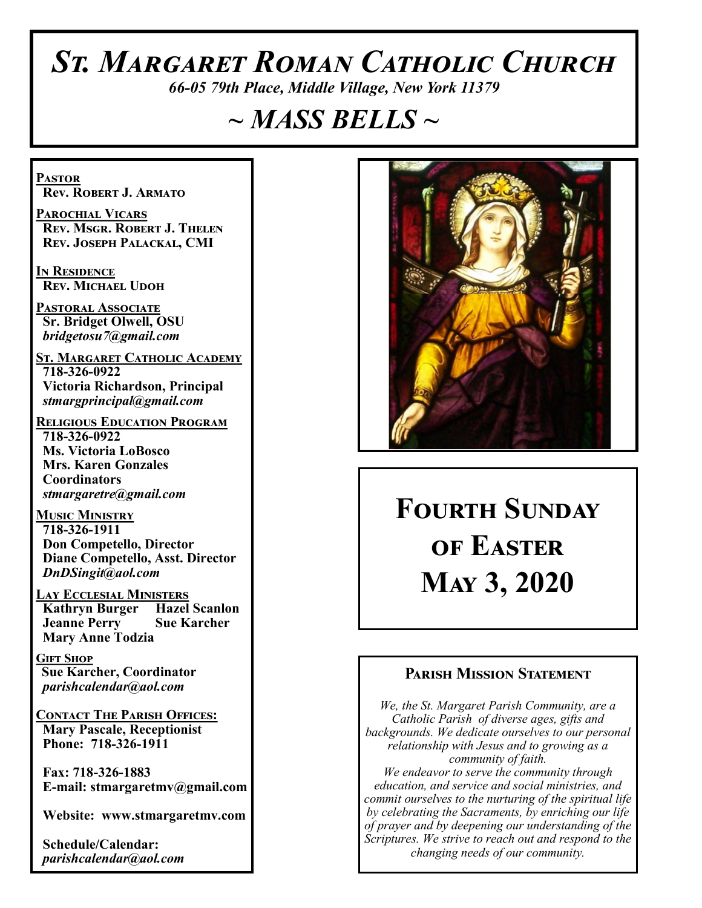# *St. Margaret Roman Catholic Church*

*66-05 79th Place, Middle Village, New York 11379*

# *~ MASS BELLS ~*

**Pastor Rev. Robert J. Armato**

**Parochial Vicars Rev. Msgr. Robert J. Thelen Rev. Joseph Palackal, CMI**

**In Residence Rev. Michael Udoh**

**Pastoral Associate Sr. Bridget Olwell, OSU**  *bridgetosu7@gmail.com*

**St. Margaret Catholic Academy 718-326-0922 Victoria Richardson, Principal**  *stmargprincipal@gmail.com*

**Religious Education Program 718-326-0922 Ms. Victoria LoBosco Mrs. Karen Gonzales Coordinators** *stmargaretre@gmail.com*

**Music Ministry 718-326-1911 Don Competello, Director Diane Competello, Asst. Director** *DnDSingit@aol.com*

**Lay Ecclesial Ministers Kathryn Burger Hazel Scanlon Jeanne Perry Sue Karcher Mary Anne Todzia**

**Gift Shop Sue Karcher, Coordinator** *parishcalendar@aol.com*

**Contact The Parish Offices: Mary Pascale, Receptionist Phone: 718-326-1911** 

 **Fax: 718-326-1883 E-mail: stmargaretmv@gmail.com**

 **Website: www.stmargaretmv.com**

 **Schedule/Calendar:** *parishcalendar@aol.com* 



**Fourth Sunday of Easter May 3, 2020** 

### **Parish Mission Statement**

*We, the St. Margaret Parish Community, are a Catholic Parish of diverse ages, gifts and backgrounds. We dedicate ourselves to our personal relationship with Jesus and to growing as a community of faith. We endeavor to serve the community through education, and service and social ministries, and commit ourselves to the nurturing of the spiritual life by celebrating the Sacraments, by enriching our life of prayer and by deepening our understanding of the Scriptures. We strive to reach out and respond to the changing needs of our community.*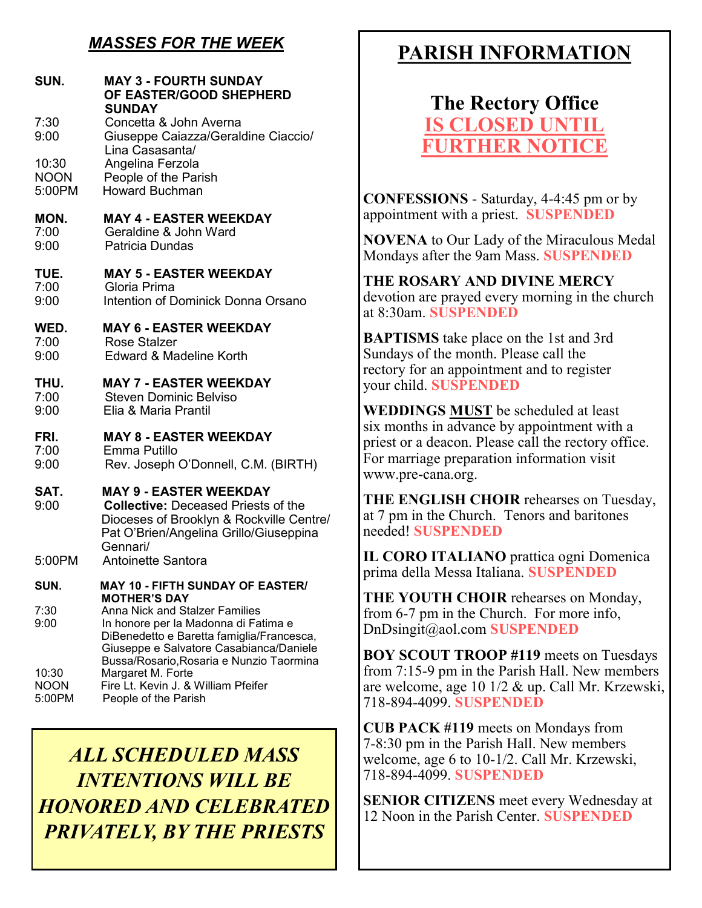### *MASSES FOR THE WEEK*

| SUN.                           | <b>MAY 3 - FOURTH SUNDAY</b><br>OF EASTER/GOOD SHEPHERD<br><b>SUNDAY</b>                                                                                                      |                                                         |
|--------------------------------|-------------------------------------------------------------------------------------------------------------------------------------------------------------------------------|---------------------------------------------------------|
| 7:30<br>9:00                   | Concetta & John Averna<br>Giuseppe Caiazza/Geraldine Ciaccio/<br>Lina Casasanta/                                                                                              |                                                         |
| 10:30<br><b>NOON</b><br>5:00PM | Angelina Ferzola<br>People of the Parish<br><b>Howard Buchman</b>                                                                                                             | $\blacklozenge$                                         |
| MON.<br>7:00<br>9:00           | <b>MAY 4 - EASTER WEEKDAY</b><br>Geraldine & John Ward<br>Patricia Dundas                                                                                                     | a<br>ľ<br>Ŋ                                             |
| TUE.<br>7:00<br>9:00           | <b>MAY 5 - EASTER WEEKDAY</b><br>Gloria Prima<br>Intention of Dominick Donna Orsano                                                                                           | $\overline{\mathbf{a}}$<br>$\vec{c}$<br>a               |
| WED.<br>7:00<br>9:00           | <b>MAY 6 - EASTER WEEKDAY</b><br>Rose Stalzer<br>Edward & Madeline Korth                                                                                                      | I<br>S                                                  |
| THU.<br>7:00<br>9:00           | <b>MAY 7 - EASTER WEEKDAY</b><br><b>Steven Dominic Belviso</b><br>Elia & Maria Prantil                                                                                        | $\mathbf{r}$<br>$\mathcal{Y}$<br>Ī                      |
| FRI.<br>7:00<br>9:00           | <b>MAY 8 - EASTER WEEKDAY</b><br>Emma Putillo<br>Rev. Joseph O'Donnell, C.M. (BIRTH)                                                                                          | S<br>$\frac{\Gamma}{\Gamma}$<br>$\overline{\mathbf{v}}$ |
| SAT.<br>9:00                   | <b>MAY 9 - EASTER WEEKDAY</b><br><b>Collective: Deceased Priests of the</b><br>Dioceses of Brooklyn & Rockville Centre/<br>Pat O'Brien/Angelina Grillo/Giuseppina<br>Gennari/ | $\overline{\mathbf{a}}$<br>a<br>r.                      |
| 5:00PM                         | Antoinette Santora                                                                                                                                                            | I<br>$\mathfrak{p}$                                     |
| SUN.                           | MAY 10 - FIFTH SUNDAY OF EASTER/<br><b>MOTHER'S DAY</b>                                                                                                                       |                                                         |
| 7:30<br>9:00                   | <b>Anna Nick and Stalzer Families</b><br>In honore per la Madonna di Fatima e<br>DiBenedetto e Baretta famiglia/Francesca,<br>Giuseppe e Salvatore Casabianca/Daniele         | $\mathbf f$<br>I<br>I                                   |
| 10:30<br><b>NOON</b><br>5:00PM | Bussa/Rosario, Rosaria e Nunzio Taormina<br>Margaret M. Forte<br>Fire Lt. Kevin J. & William Pfeifer<br>People of the Parish                                                  | $\mathbf f$<br>a                                        |

*ALL SCHEDULED MASS INTENTIONS WILL BE HONORED AND CELEBRATED PRIVATELY, BY THE PRIESTS*

# **PARISH INFORMATION**

# **The Rectory Office IS CLOSED UNT FURTHER NOTICE**

**CONFESSIONS** - Saturday, 4-4:45 pm or by appointment with a priest. **SUSPENDED**

**NOVENA** to Our Lady of the Miraculous Medal Mondays after the 9am Mass. **SUSPENDED**

**THE ROSARY AND DIVINE MERCY** devotion are prayed every morning in the church at 8:30am. **SUSPENDED**

**BAPTISMS** take place on the 1st and 3rd Sundays of the month. Please call the rectory for an appointment and to register your child. **SUSPENDED**

**WEDDINGS MUST** be scheduled at least six months in advance by appointment with a priest or a deacon. Please call the rectory office. For marriage preparation information visit www.pre-cana.org.

**THE ENGLISH CHOIR** rehearses on Tuesday, at 7 pm in the Church. Tenors and baritones needed! **SUSPENDED**

**IL CORO ITALIANO** prattica ogni Domenica prima della Messa Italiana. **SUSPENDED**

**THE YOUTH CHOIR** rehearses on Monday, from 6-7 pm in the Church. For more info, DnDsingit@aol.com **SUSPENDED**

**BOY SCOUT TROOP #119** meets on Tuesdays from 7:15-9 pm in the Parish Hall. New members are welcome, age 10 1/2 & up. Call Mr. Krzewski, 718-894-4099. **SUSPENDED**

**CUB PACK #119** meets on Mondays from 7-8:30 pm in the Parish Hall. New members welcome, age 6 to 10-1/2. Call Mr. Krzewski, 718-894-4099. **SUSPENDED**

**SENIOR CITIZENS** meet every Wednesday at 12 Noon in the Parish Center. **SUSPENDED**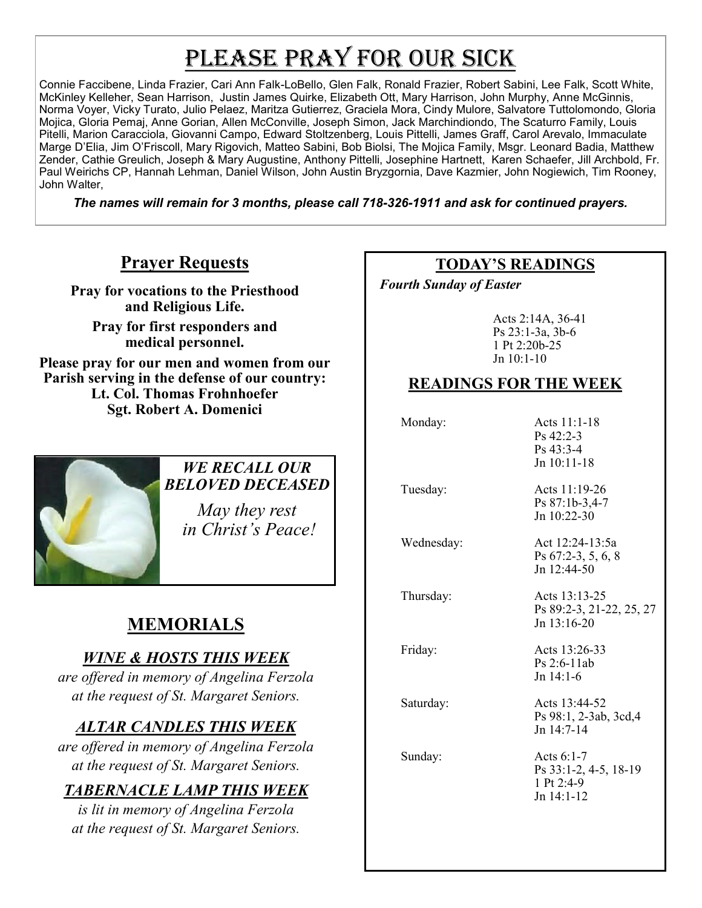# PLEASE PRAY FOR OUR SICK

Connie Faccibene, Linda Frazier, Cari Ann Falk-LoBello, Glen Falk, Ronald Frazier, Robert Sabini, Lee Falk, Scott White, McKinley Kelleher, Sean Harrison, Justin James Quirke, Elizabeth Ott, Mary Harrison, John Murphy, Anne McGinnis, Norma Voyer, Vicky Turato, Julio Pelaez, Maritza Gutierrez, Graciela Mora, Cindy Mulore, Salvatore Tuttolomondo, Gloria Mojica, Gloria Pemaj, Anne Gorian, Allen McConville, Joseph Simon, Jack Marchindiondo, The Scaturro Family, Louis Pitelli, Marion Caracciola, Giovanni Campo, Edward Stoltzenberg, Louis Pittelli, James Graff, Carol Arevalo, Immaculate Marge D'Elia, Jim O'Friscoll, Mary Rigovich, Matteo Sabini, Bob Biolsi, The Mojica Family, Msgr. Leonard Badia, Matthew Zender, Cathie Greulich, Joseph & Mary Augustine, Anthony Pittelli, Josephine Hartnett, Karen Schaefer, Jill Archbold, Fr. Paul Weirichs CP, Hannah Lehman, Daniel Wilson, John Austin Bryzgornia, Dave Kazmier, John Nogiewich, Tim Rooney, John Walter,

*The names will remain for 3 months, please call 718-326-1911 and ask for continued prayers.*

### **Prayer Requests**

**Pray for vocations to the Priesthood and Religious Life.** 

**Pray for first responders and medical personnel.**

**Please pray for our men and women from our Parish serving in the defense of our country: Lt. Col. Thomas Frohnhoefer Sgt. Robert A. Domenici** 



#### *WE RECALL OUR BELOVED DECEASED*

*May they rest in Christ's Peace!*

# **MEMORIALS**

### *WINE & HOSTS THIS WEEK*

*are offered in memory of Angelina Ferzola at the request of St. Margaret Seniors.* 

## *ALTAR CANDLES THIS WEEK*

*are offered in memory of Angelina Ferzola at the request of St. Margaret Seniors.* 

### *TABERNACLE LAMP THIS WEEK*

*is lit in memory of Angelina Ferzola at the request of St. Margaret Seniors.* 

### **TODAY'S READINGS**

 *Fourth Sunday of Easter* 

Acts 2:14A, 36-41 Ps 23:1-3a, 3b-6 1 Pt 2:20b-25 Jn 10:1-10

### **READINGS FOR THE WEEK**

Monday: Acts 11:1-18

Ps 42:2-3 Ps 43:3-4 Jn 10:11-18

 Tuesday: Acts 11:19-26 Ps 87:1b-3,4-7 Jn 10:22-30

 Wednesday: Act 12:24-13:5a Ps 67:2-3, 5, 6, 8 Jn 12:44-50

Thursday: Acts 13:13-25 Ps 89:2-3, 21-22, 25, 27 Jn 13:16-20

Friday: Acts 13:26-33

Saturday: Acts 13:44-52 Ps 98:1, 2-3ab, 3cd,4 Jn 14:7-14

Ps 2:6-11ab Jn 14:1-6

Sunday: Acts 6:1-7 Ps 33:1-2, 4-5, 18-19 1 Pt 2:4-9 Jn 14:1-12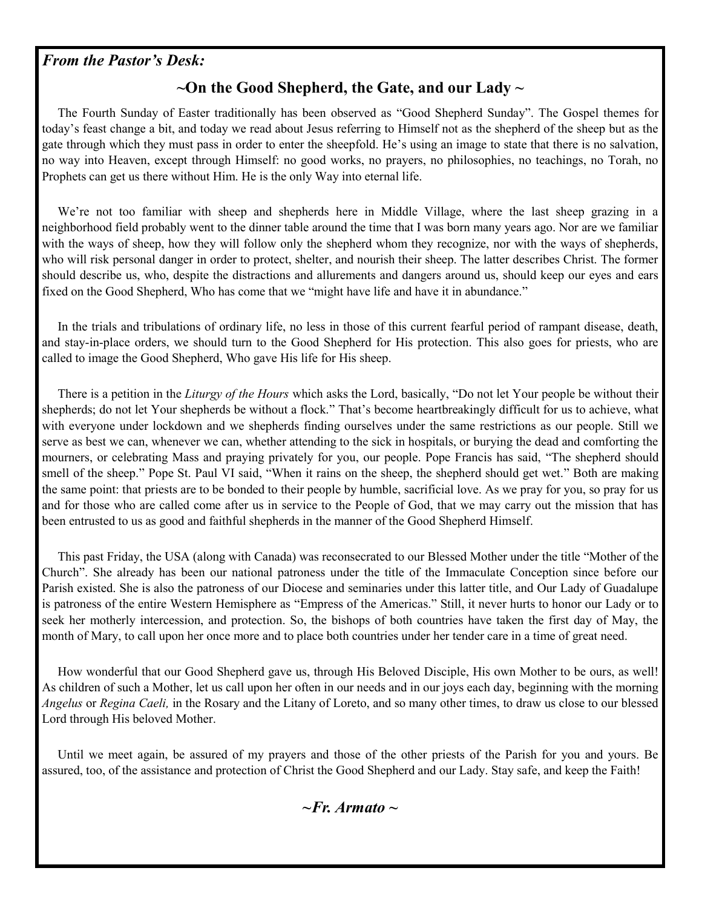#### *From the Pastor's Desk:*

### **~On the Good Shepherd, the Gate, and our Lady ~**

 The Fourth Sunday of Easter traditionally has been observed as "Good Shepherd Sunday". The Gospel themes for today's feast change a bit, and today we read about Jesus referring to Himself not as the shepherd of the sheep but as the gate through which they must pass in order to enter the sheepfold. He's using an image to state that there is no salvation, no way into Heaven, except through Himself: no good works, no prayers, no philosophies, no teachings, no Torah, no Prophets can get us there without Him. He is the only Way into eternal life.

 We're not too familiar with sheep and shepherds here in Middle Village, where the last sheep grazing in a neighborhood field probably went to the dinner table around the time that I was born many years ago. Nor are we familiar with the ways of sheep, how they will follow only the shepherd whom they recognize, nor with the ways of shepherds, who will risk personal danger in order to protect, shelter, and nourish their sheep. The latter describes Christ. The former should describe us, who, despite the distractions and allurements and dangers around us, should keep our eyes and ears fixed on the Good Shepherd, Who has come that we "might have life and have it in abundance."

 In the trials and tribulations of ordinary life, no less in those of this current fearful period of rampant disease, death, and stay-in-place orders, we should turn to the Good Shepherd for His protection. This also goes for priests, who are called to image the Good Shepherd, Who gave His life for His sheep.

 There is a petition in the *Liturgy of the Hours* which asks the Lord, basically, "Do not let Your people be without their shepherds; do not let Your shepherds be without a flock." That's become heartbreakingly difficult for us to achieve, what with everyone under lockdown and we shepherds finding ourselves under the same restrictions as our people. Still we serve as best we can, whenever we can, whether attending to the sick in hospitals, or burying the dead and comforting the mourners, or celebrating Mass and praying privately for you, our people. Pope Francis has said, "The shepherd should smell of the sheep." Pope St. Paul VI said, "When it rains on the sheep, the shepherd should get wet." Both are making the same point: that priests are to be bonded to their people by humble, sacrificial love. As we pray for you, so pray for us and for those who are called come after us in service to the People of God, that we may carry out the mission that has been entrusted to us as good and faithful shepherds in the manner of the Good Shepherd Himself.

 This past Friday, the USA (along with Canada) was reconsecrated to our Blessed Mother under the title "Mother of the Church". She already has been our national patroness under the title of the Immaculate Conception since before our Parish existed. She is also the patroness of our Diocese and seminaries under this latter title, and Our Lady of Guadalupe is patroness of the entire Western Hemisphere as "Empress of the Americas." Still, it never hurts to honor our Lady or to seek her motherly intercession, and protection. So, the bishops of both countries have taken the first day of May, the month of Mary, to call upon her once more and to place both countries under her tender care in a time of great need.

 How wonderful that our Good Shepherd gave us, through His Beloved Disciple, His own Mother to be ours, as well! As children of such a Mother, let us call upon her often in our needs and in our joys each day, beginning with the morning *Angelus* or *Regina Caeli,* in the Rosary and the Litany of Loreto, and so many other times, to draw us close to our blessed Lord through His beloved Mother.

 Until we meet again, be assured of my prayers and those of the other priests of the Parish for you and yours. Be assured, too, of the assistance and protection of Christ the Good Shepherd and our Lady. Stay safe, and keep the Faith!

*~Fr. Armato ~*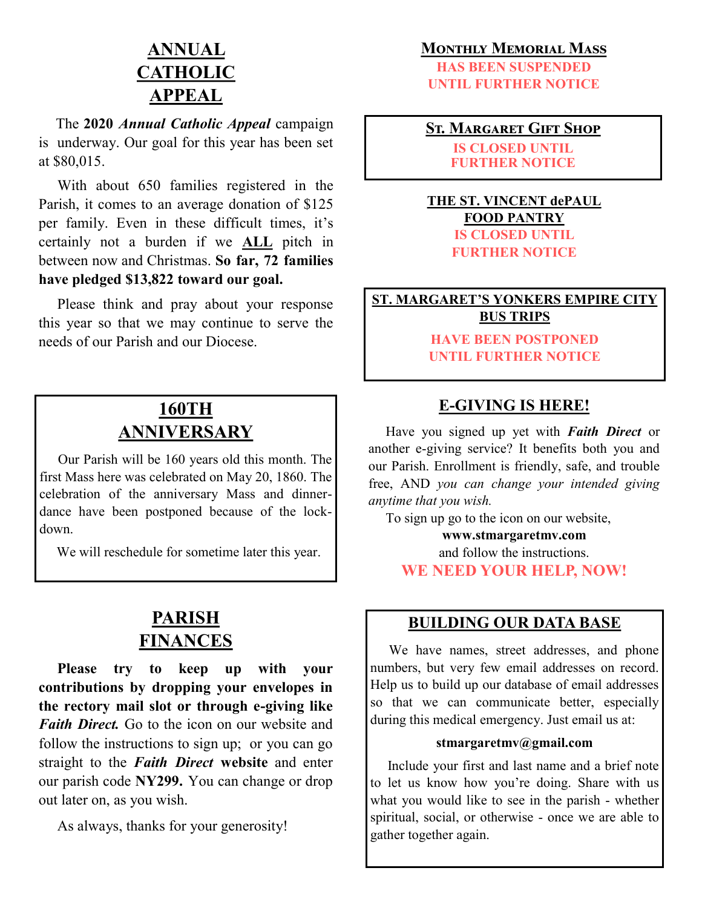# **ANNUAL CATHOLIC APPEAL**

 The **2020** *Annual Catholic Appeal* campaign is underway. Our goal for this year has been set at \$80,015.

 With about 650 families registered in the Parish, it comes to an average donation of \$125 per family. Even in these difficult times, it's certainly not a burden if we **ALL** pitch in between now and Christmas. **So far, 72 families have pledged \$13,822 toward our goal.**

 Please think and pray about your response this year so that we may continue to serve the needs of our Parish and our Diocese.

## **160TH ANNIVERSARY**

 Our Parish will be 160 years old this month. The first Mass here was celebrated on May 20, 1860. The celebration of the anniversary Mass and dinnerdance have been postponed because of the lockdown.

We will reschedule for sometime later this year.

## **PARISH FINANCES**

 **Please try to keep up with your contributions by dropping your envelopes in the rectory mail slot or through e-giving like**  *Faith Direct.* Go to the icon on our website and follow the instructions to sign up; or you can go straight to the *Faith Direct* **website** and enter our parish code **NY299.** You can change or drop out later on, as you wish.

As always, thanks for your generosity!

#### **Monthly Memorial Mass**

**HAS BEEN SUSPENDED UNTIL FURTHER NOTICE**

**St. Margaret Gift Shop IS CLOSED UNTIL**

**FURTHER NOTICE**

#### **THE ST. VINCENT dePAUL FOOD PANTRY IS CLOSED UNTIL FURTHER NOTICE**

**ST. MARGARET'S YONKERS EMPIRE CITY BUS TRIPS**

> **HAVE BEEN POSTPONED UNTIL FURTHER NOTICE**

### **E-GIVING IS HERE!**

 Have you signed up yet with *Faith Direct* or another e-giving service? It benefits both you and our Parish. Enrollment is friendly, safe, and trouble free, AND *you can change your intended giving anytime that you wish.*

To sign up go to the icon on our website,

**www.stmargaretmv.com**  and follow the instructions. **WE NEED YOUR HELP, NOW!**

### **BUILDING OUR DATA BASE**

 We have names, street addresses, and phone numbers, but very few email addresses on record. Help us to build up our database of email addresses so that we can communicate better, especially during this medical emergency. Just email us at:

#### **stmargaretmv@gmail.com**

 Include your first and last name and a brief note to let us know how you're doing. Share with us what you would like to see in the parish - whether spiritual, social, or otherwise - once we are able to gather together again.